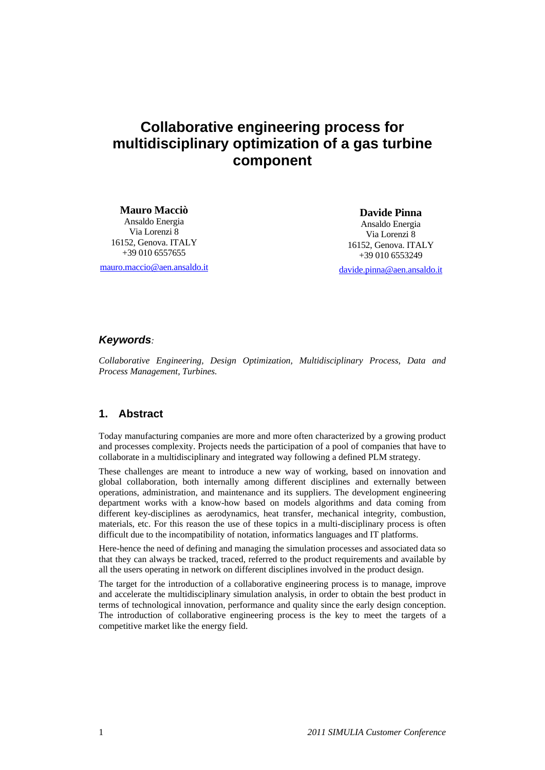# **Collaborative engineering process for multidisciplinary optimization of a gas turbine component**

**Mauro Macciò**  Ansaldo Energia Via Lorenzi 8 16152, Genova. ITALY +39 010 6557655

mauro.maccio@aen.ansaldo.it

**Davide Pinna**  Ansaldo Energia Via Lorenzi 8 16152, Genova. ITALY +39 010 6553249

davide.pinna@aen.ansaldo.it

#### *Keywords:*

*Collaborative Engineering, Design Optimization, Multidisciplinary Process, Data and Process Management, Turbines.* 

## **1. Abstract**

Today manufacturing companies are more and more often characterized by a growing product and processes complexity. Projects needs the participation of a pool of companies that have to collaborate in a multidisciplinary and integrated way following a defined PLM strategy.

These challenges are meant to introduce a new way of working, based on innovation and global collaboration, both internally among different disciplines and externally between operations, administration, and maintenance and its suppliers. The development engineering department works with a know-how based on models algorithms and data coming from different key-disciplines as aerodynamics, heat transfer, mechanical integrity, combustion, materials, etc. For this reason the use of these topics in a multi-disciplinary process is often difficult due to the incompatibility of notation, informatics languages and IT platforms.

Here-hence the need of defining and managing the simulation processes and associated data so that they can always be tracked, traced, referred to the product requirements and available by all the users operating in network on different disciplines involved in the product design.

The target for the introduction of a collaborative engineering process is to manage, improve and accelerate the multidisciplinary simulation analysis, in order to obtain the best product in terms of technological innovation, performance and quality since the early design conception. The introduction of collaborative engineering process is the key to meet the targets of a competitive market like the energy field.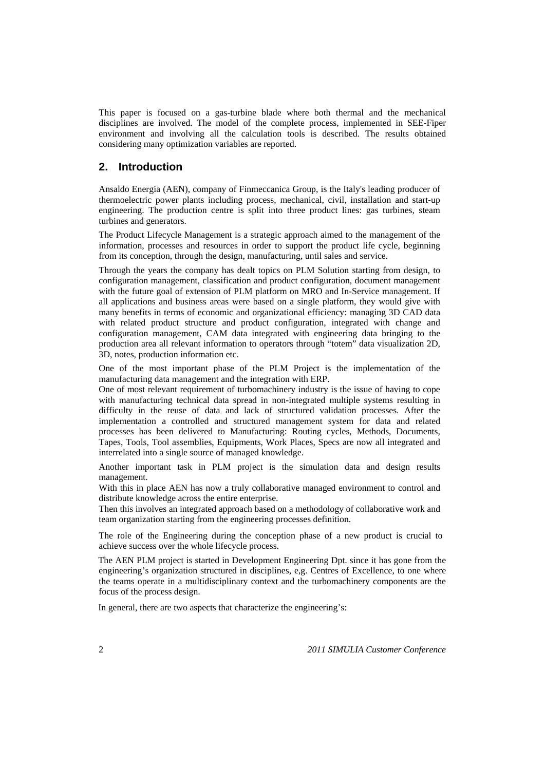This paper is focused on a gas-turbine blade where both thermal and the mechanical disciplines are involved. The model of the complete process, implemented in SEE-Fiper environment and involving all the calculation tools is described. The results obtained considering many optimization variables are reported.

#### **2. Introduction**

Ansaldo Energia (AEN), company of Finmeccanica Group, is the Italy's leading producer of thermoelectric power plants including process, mechanical, civil, installation and start-up engineering. The production centre is split into three product lines: gas turbines, steam turbines and generators.

The Product Lifecycle Management is a strategic approach aimed to the management of the information, processes and resources in order to support the product life cycle, beginning from its conception, through the design, manufacturing, until sales and service.

Through the years the company has dealt topics on PLM Solution starting from design, to configuration management, classification and product configuration, document management with the future goal of extension of PLM platform on MRO and In-Service management. If all applications and business areas were based on a single platform, they would give with many benefits in terms of economic and organizational efficiency: managing 3D CAD data with related product structure and product configuration, integrated with change and configuration management, CAM data integrated with engineering data bringing to the production area all relevant information to operators through "totem" data visualization 2D, 3D, notes, production information etc.

One of the most important phase of the PLM Project is the implementation of the manufacturing data management and the integration with ERP.

One of most relevant requirement of turbomachinery industry is the issue of having to cope with manufacturing technical data spread in non-integrated multiple systems resulting in difficulty in the reuse of data and lack of structured validation processes. After the implementation a controlled and structured management system for data and related processes has been delivered to Manufacturing: Routing cycles, Methods, Documents, Tapes, Tools, Tool assemblies, Equipments, Work Places, Specs are now all integrated and interrelated into a single source of managed knowledge.

Another important task in PLM project is the simulation data and design results management.

With this in place AEN has now a truly collaborative managed environment to control and distribute knowledge across the entire enterprise.

Then this involves an integrated approach based on a methodology of collaborative work and team organization starting from the engineering processes definition.

The role of the Engineering during the conception phase of a new product is crucial to achieve success over the whole lifecycle process.

The AEN PLM project is started in Development Engineering Dpt. since it has gone from the engineering's organization structured in disciplines, e,g. Centres of Excellence, to one where the teams operate in a multidisciplinary context and the turbomachinery components are the focus of the process design.

In general, there are two aspects that characterize the engineering's: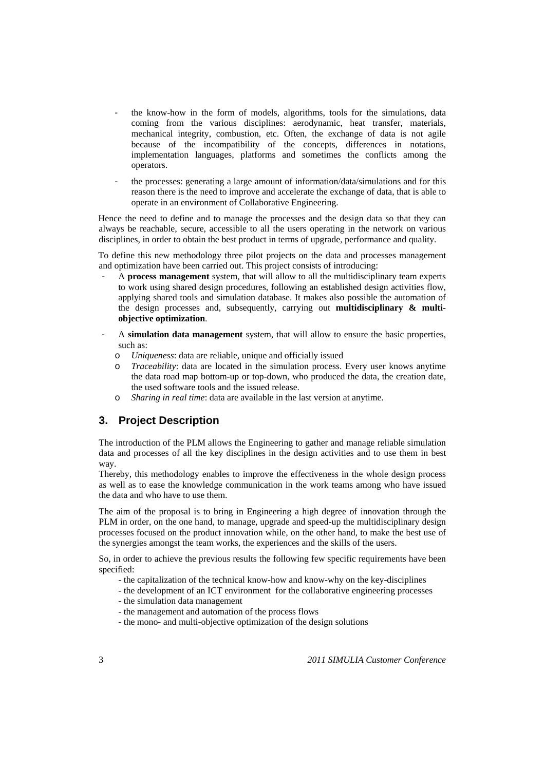- the know-how in the form of models, algorithms, tools for the simulations, data coming from the various disciplines: aerodynamic, heat transfer, materials, mechanical integrity, combustion, etc. Often, the exchange of data is not agile because of the incompatibility of the concepts, differences in notations, implementation languages, platforms and sometimes the conflicts among the operators.
- the processes: generating a large amount of information/data/simulations and for this reason there is the need to improve and accelerate the exchange of data, that is able to operate in an environment of Collaborative Engineering.

Hence the need to define and to manage the processes and the design data so that they can always be reachable, secure, accessible to all the users operating in the network on various disciplines, in order to obtain the best product in terms of upgrade, performance and quality.

To define this new methodology three pilot projects on the data and processes management and optimization have been carried out. This project consists of introducing:

- A **process management** system, that will allow to all the multidisciplinary team experts to work using shared design procedures, following an established design activities flow, applying shared tools and simulation database. It makes also possible the automation of the design processes and, subsequently, carrying out **multidisciplinary & multiobjective optimization**.
- A **simulation data management** system, that will allow to ensure the basic properties, such as:
	- o *Uniqueness*: data are reliable, unique and officially issued
	- o *Traceability*: data are located in the simulation process. Every user knows anytime the data road map bottom-up or top-down, who produced the data, the creation date, the used software tools and the issued release.
	- *Sharing in real time*: data are available in the last version at anytime.

## **3. Project Description**

The introduction of the PLM allows the Engineering to gather and manage reliable simulation data and processes of all the key disciplines in the design activities and to use them in best way.

Thereby, this methodology enables to improve the effectiveness in the whole design process as well as to ease the knowledge communication in the work teams among who have issued the data and who have to use them.

The aim of the proposal is to bring in Engineering a high degree of innovation through the PLM in order, on the one hand, to manage, upgrade and speed-up the multidisciplinary design processes focused on the product innovation while, on the other hand, to make the best use of the synergies amongst the team works, the experiences and the skills of the users.

So, in order to achieve the previous results the following few specific requirements have been specified:

- the capitalization of the technical know-how and know-why on the key-disciplines
- the development of an ICT environment for the collaborative engineering processes
- the simulation data management
- the management and automation of the process flows
- the mono- and multi-objective optimization of the design solutions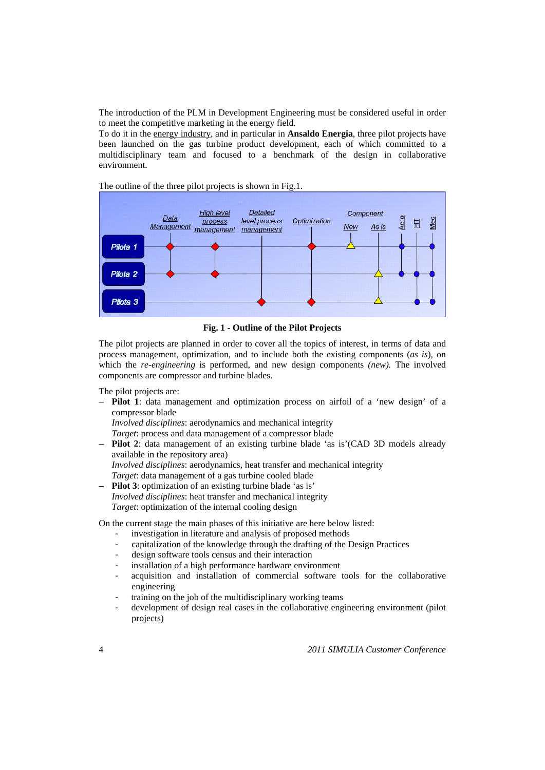The introduction of the PLM in Development Engineering must be considered useful in order to meet the competitive marketing in the energy field.

To do it in the energy industry, and in particular in **Ansaldo Energia**, three pilot projects have been launched on the gas turbine product development, each of which committed to a multidisciplinary team and focused to a benchmark of the design in collaborative environment.

The outline of the three pilot projects is shown in Fig.1.



**Fig. 1 - Outline of the Pilot Projects** 

The pilot projects are planned in order to cover all the topics of interest, in terms of data and process management, optimization, and to include both the existing components (*as is*), on which the *re-engineering* is performed, and new design components *(new).* The involved components are compressor and turbine blades.

The pilot projects are:

– **Pilot 1**: data management and optimization process on airfoil of a 'new design' of a compressor blade

*Involved disciplines*: aerodynamics and mechanical integrity

*Target*: process and data management of a compressor blade

– **Pilot 2**: data management of an existing turbine blade 'as is'(CAD 3D models already available in the repository area) *Involved disciplines*: aerodynamics, heat transfer and mechanical integrity

*Target*: data management of a gas turbine cooled blade

– **Pilot 3**: optimization of an existing turbine blade 'as is' *Involved disciplines*: heat transfer and mechanical integrity *Target*: optimization of the internal cooling design

On the current stage the main phases of this initiative are here below listed:

- investigation in literature and analysis of proposed methods
- capitalization of the knowledge through the drafting of the Design Practices
- design software tools census and their interaction
- installation of a high performance hardware environment
- acquisition and installation of commercial software tools for the collaborative engineering
- training on the job of the multidisciplinary working teams
- development of design real cases in the collaborative engineering environment (pilot projects)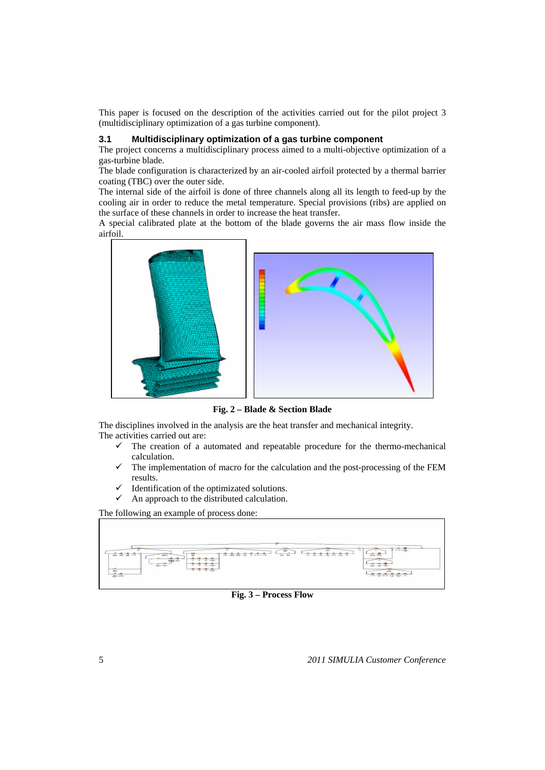This paper is focused on the description of the activities carried out for the pilot project 3 (multidisciplinary optimization of a gas turbine component).

#### **3.1 Multidisciplinary optimization of a gas turbine component**

The project concerns a multidisciplinary process aimed to a multi-objective optimization of a gas-turbine blade.

The blade configuration is characterized by an air-cooled airfoil protected by a thermal barrier coating (TBC) over the outer side.

The internal side of the airfoil is done of three channels along all its length to feed-up by the cooling air in order to reduce the metal temperature. Special provisions (ribs) are applied on the surface of these channels in order to increase the heat transfer.

A special calibrated plate at the bottom of the blade governs the air mass flow inside the airfoil.



**Fig. 2 – Blade & Section Blade** 

The disciplines involved in the analysis are the heat transfer and mechanical integrity. The activities carried out are:

- $\checkmark$  The creation of a automated and repeatable procedure for the thermo-mechanical calculation.
- The implementation of macro for the calculation and the post-processing of the FEM results.
- Identification of the optimizated solutions.
- $\checkmark$  An approach to the distributed calculation.

The following an example of process done:



**Fig. 3 – Process Flow**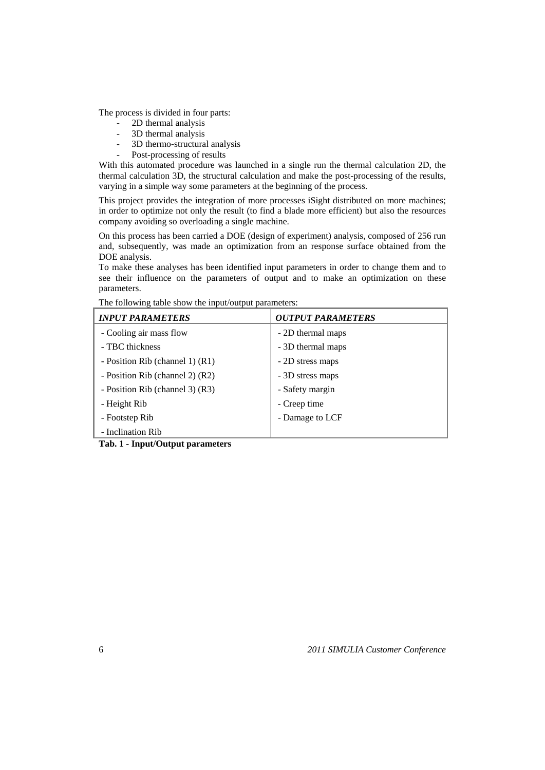The process is divided in four parts:

- 2D thermal analysis
- 3D thermal analysis
- 3D thermo-structural analysis
- Post-processing of results

With this automated procedure was launched in a single run the thermal calculation 2D, the thermal calculation 3D, the structural calculation and make the post-processing of the results, varying in a simple way some parameters at the beginning of the process.

This project provides the integration of more processes iSight distributed on more machines; in order to optimize not only the result (to find a blade more efficient) but also the resources company avoiding so overloading a single machine.

On this process has been carried a DOE (design of experiment) analysis, composed of 256 run and, subsequently, was made an optimization from an response surface obtained from the DOE analysis.

To make these analyses has been identified input parameters in order to change them and to see their influence on the parameters of output and to make an optimization on these parameters.

| <b>INPUT PARAMETERS</b>         | <b>OUTPUT PARAMETERS</b> |
|---------------------------------|--------------------------|
| - Cooling air mass flow         | - 2D thermal maps        |
| - TBC thickness                 | - 3D thermal maps        |
| - Position Rib (channel 1) (R1) | - 2D stress maps         |
| - Position Rib (channel 2) (R2) | - 3D stress maps         |
| - Position Rib (channel 3) (R3) | - Safety margin          |
| - Height Rib                    | - Creep time             |
| - Footstep Rib                  | - Damage to LCF          |
| - Inclination Rib               |                          |

The following table show the input/output parameters:

**Tab. 1 - Input/Output parameters**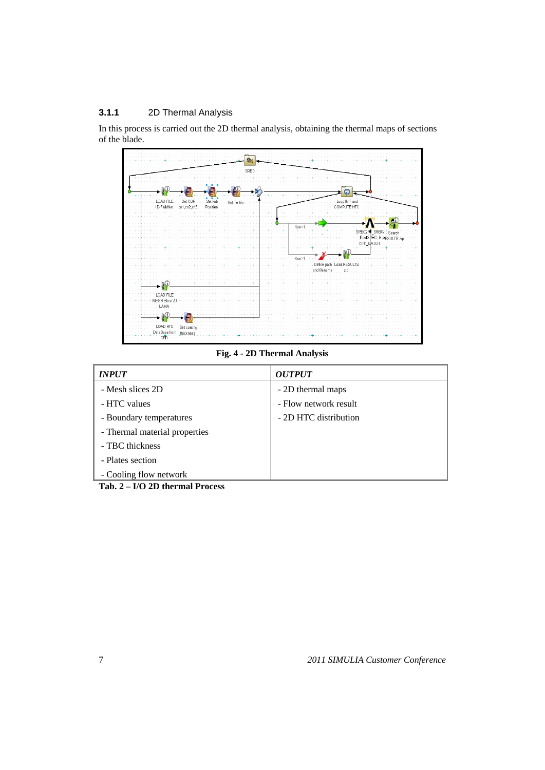## **3.1.1** 2D Thermal Analysis

In this process is carried out the 2D thermal analysis, obtaining the thermal maps of sections of the blade.



**Fig. 4 - 2D Thermal Analysis** 

| <b>INPUT</b>                                                                                                                                                                                                                                                                                                                             | <i><b>OUTPUT</b></i>  |
|------------------------------------------------------------------------------------------------------------------------------------------------------------------------------------------------------------------------------------------------------------------------------------------------------------------------------------------|-----------------------|
| - Mesh slices 2D                                                                                                                                                                                                                                                                                                                         | - 2D thermal maps     |
| - HTC values                                                                                                                                                                                                                                                                                                                             | - Flow network result |
| - Boundary temperatures                                                                                                                                                                                                                                                                                                                  | - 2D HTC distribution |
| - Thermal material properties                                                                                                                                                                                                                                                                                                            |                       |
| - TBC thickness                                                                                                                                                                                                                                                                                                                          |                       |
| - Plates section                                                                                                                                                                                                                                                                                                                         |                       |
| - Cooling flow network                                                                                                                                                                                                                                                                                                                   |                       |
| $\mathbf{T}_{\alpha}$ $\mathbf{A}$ $\mathbf{B}$ $\mathbf{A}$ $\mathbf{B}$ $\mathbf{B}$ $\mathbf{B}$ $\mathbf{B}$ $\mathbf{B}$ $\mathbf{B}$ $\mathbf{B}$ $\mathbf{B}$ $\mathbf{B}$ $\mathbf{B}$ $\mathbf{B}$ $\mathbf{B}$ $\mathbf{B}$ $\mathbf{B}$ $\mathbf{B}$ $\mathbf{B}$ $\mathbf{B}$ $\mathbf{B}$ $\mathbf{B}$ $\mathbf{B}$ $\math$ |                       |

**Tab. 2 – I/O 2D thermal Process**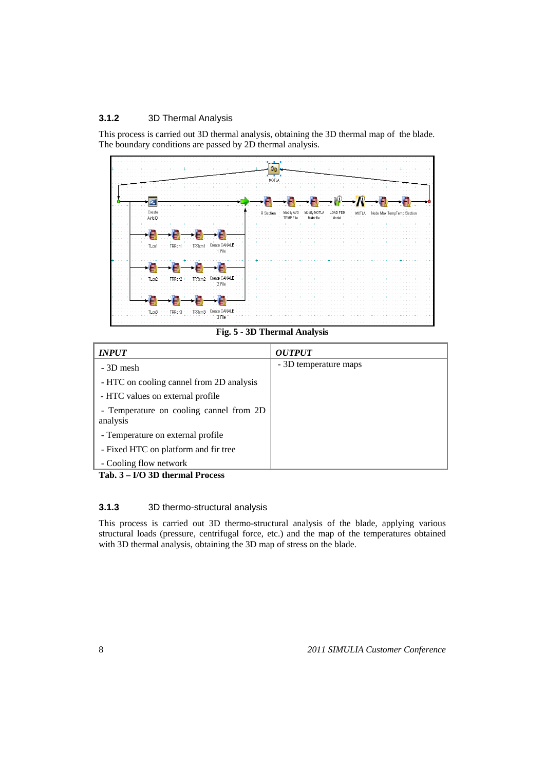#### **3.1.2** 3D Thermal Analysis

This process is carried out 3D thermal analysis, obtaining the 3D thermal map of the blade. The boundary conditions are passed by 2D thermal analysis.



**Fig. 5 - 3D Thermal Analysis** 

| <i><b>INPUT</b></i>                                 | <i><b>OUTPUT</b></i>  |
|-----------------------------------------------------|-----------------------|
| - 3D mesh                                           | - 3D temperature maps |
| - HTC on cooling cannel from 2D analysis            |                       |
| - HTC values on external profile                    |                       |
| - Temperature on cooling cannel from 2D<br>analysis |                       |
| - Temperature on external profile                   |                       |
| - Fixed HTC on platform and fir tree                |                       |
| - Cooling flow network                              |                       |

**Tab. 3 – I/O 3D thermal Process** 

## **3.1.3** 3D thermo-structural analysis

This process is carried out 3D thermo-structural analysis of the blade, applying various structural loads (pressure, centrifugal force, etc.) and the map of the temperatures obtained with 3D thermal analysis, obtaining the 3D map of stress on the blade.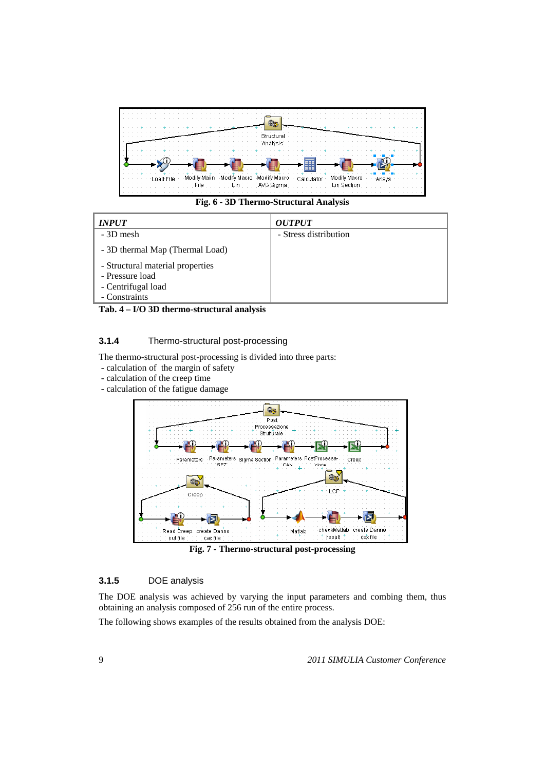

**Fig. 6 - 3D Thermo-Structural Analysis** 

| <b>INPUT</b>                     | <i><b>OUTPUT</b></i>  |
|----------------------------------|-----------------------|
| - 3D mesh                        | - Stress distribution |
| - 3D thermal Map (Thermal Load)  |                       |
| - Structural material properties |                       |
| - Pressure load                  |                       |
| - Centrifugal load               |                       |
| - Constraints                    |                       |

**Tab. 4 – I/O 3D thermo-structural analysis** 

#### **3.1.4** Thermo-structural post-processing

The thermo-structural post-processing is divided into three parts:

- calculation of the margin of safety
- calculation of the creep time
- calculation of the fatigue damage



**Fig. 7 - Thermo-structural post-processing** 

#### **3.1.5** DOE analysis

The DOE analysis was achieved by varying the input parameters and combing them, thus obtaining an analysis composed of 256 run of the entire process.

The following shows examples of the results obtained from the analysis DOE: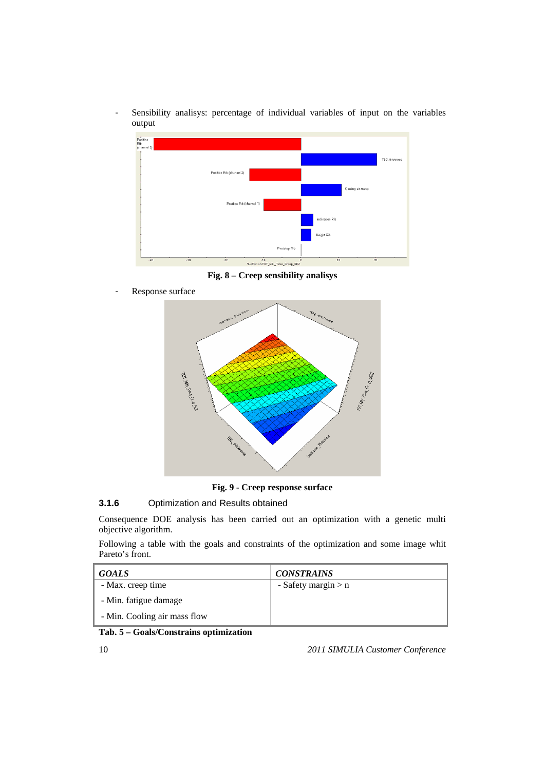Sensibility analisys: percentage of individual variables of input on the variables output



**Fig. 8 – Creep sensibility analisys** 

Response surface



**Fig. 9 - Creep response surface** 

## **3.1.6** Optimization and Results obtained

Consequence DOE analysis has been carried out an optimization with a genetic multi objective algorithm.

Following a table with the goals and constraints of the optimization and some image whit Pareto's front.

| <b>GOALS</b>                 | <b>CONSTRAINS</b>     |
|------------------------------|-----------------------|
| - Max. creep time            | - Safety margin $> n$ |
| - Min. fatigue damage        |                       |
| - Min. Cooling air mass flow |                       |

#### **Tab. 5 – Goals/Constrains optimization**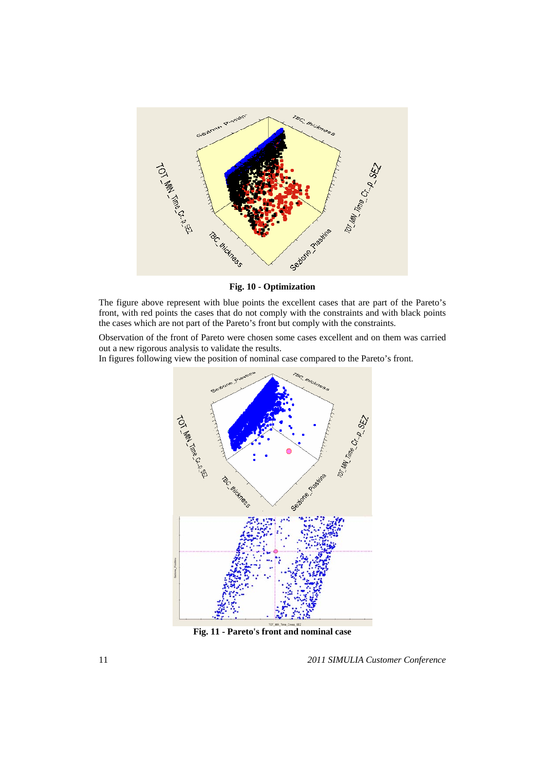

**Fig. 10 - Optimization** 

The figure above represent with blue points the excellent cases that are part of the Pareto's front, with red points the cases that do not comply with the constraints and with black points the cases which are not part of the Pareto's front but comply with the constraints.

Observation of the front of Pareto were chosen some cases excellent and on them was carried out a new rigorous analysis to validate the results.

In figures following view the position of nominal case compared to the Pareto's front.



**Fig. 11 - Pareto's front and nominal case**